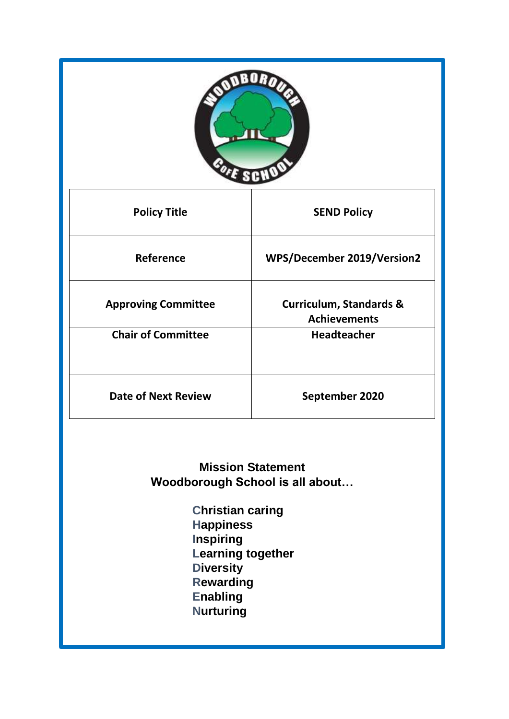

**Nurturing**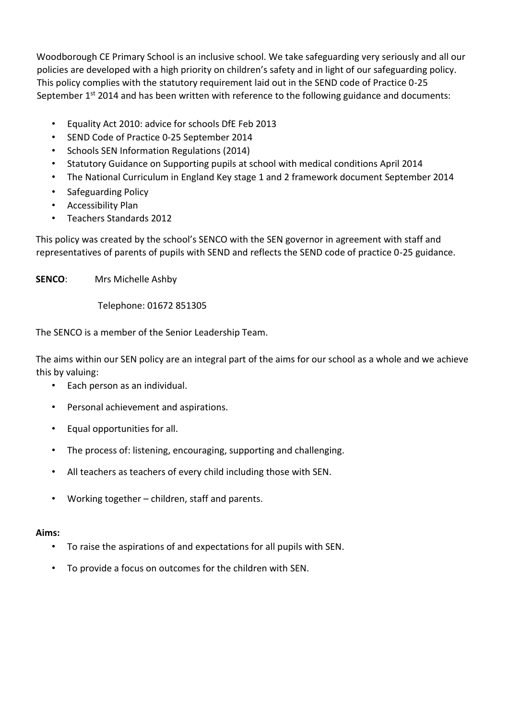Woodborough CE Primary School is an inclusive school. We take safeguarding very seriously and all our policies are developed with a high priority on children's safety and in light of our safeguarding policy. This policy complies with the statutory requirement laid out in the SEND code of Practice 0-25 September  $1<sup>st</sup>$  2014 and has been written with reference to the following guidance and documents:

- Equality Act 2010: advice for schools DfE Feb 2013
- SEND Code of Practice 0-25 September 2014
- Schools SEN Information Regulations (2014)
- Statutory Guidance on Supporting pupils at school with medical conditions April 2014
- The National Curriculum in England Key stage 1 and 2 framework document September 2014
- Safeguarding Policy
- Accessibility Plan
- Teachers Standards 2012

This policy was created by the school's SENCO with the SEN governor in agreement with staff and representatives of parents of pupils with SEND and reflects the SEND code of practice 0-25 guidance.

**SENCO**: Mrs Michelle Ashby

Telephone: 01672 851305

The SENCO is a member of the Senior Leadership Team.

The aims within our SEN policy are an integral part of the aims for our school as a whole and we achieve this by valuing:

- Each person as an individual.
- Personal achievement and aspirations.
- Equal opportunities for all.
- The process of: listening, encouraging, supporting and challenging.
- All teachers as teachers of every child including those with SEN.
- Working together children, staff and parents.

## **Aims:**

- To raise the aspirations of and expectations for all pupils with SEN.
- To provide a focus on outcomes for the children with SEN.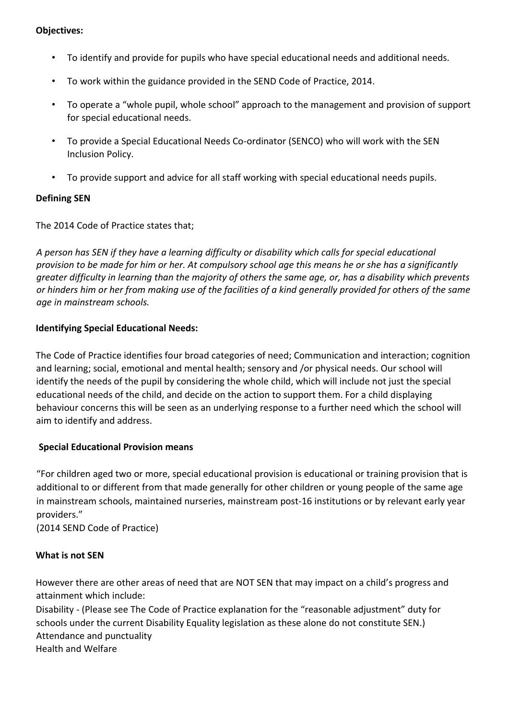## **Objectives:**

- To identify and provide for pupils who have special educational needs and additional needs.
- To work within the guidance provided in the SEND Code of Practice, 2014.
- To operate a "whole pupil, whole school" approach to the management and provision of support for special educational needs.
- To provide a Special Educational Needs Co-ordinator (SENCO) who will work with the SEN Inclusion Policy.
- To provide support and advice for all staff working with special educational needs pupils.

#### **Defining SEN**

The 2014 Code of Practice states that;

*A person has SEN if they have a learning difficulty or disability which calls for special educational provision to be made for him or her. At compulsory school age this means he or she has a significantly greater difficulty in learning than the majority of others the same age, or, has a disability which prevents or hinders him or her from making use of the facilities of a kind generally provided for others of the same age in mainstream schools.* 

#### **Identifying Special Educational Needs:**

The Code of Practice identifies four broad categories of need; Communication and interaction; cognition and learning; social, emotional and mental health; sensory and /or physical needs. Our school will identify the needs of the pupil by considering the whole child, which will include not just the special educational needs of the child, and decide on the action to support them. For a child displaying behaviour concerns this will be seen as an underlying response to a further need which the school will aim to identify and address.

## **Special Educational Provision means**

"For children aged two or more, special educational provision is educational or training provision that is additional to or different from that made generally for other children or young people of the same age in mainstream schools, maintained nurseries, mainstream post-16 institutions or by relevant early year providers."

(2014 SEND Code of Practice)

#### **What is not SEN**

However there are other areas of need that are NOT SEN that may impact on a child's progress and attainment which include:

Disability - (Please see The Code of Practice explanation for the "reasonable adjustment" duty for schools under the current Disability Equality legislation as these alone do not constitute SEN.) Attendance and punctuality Health and Welfare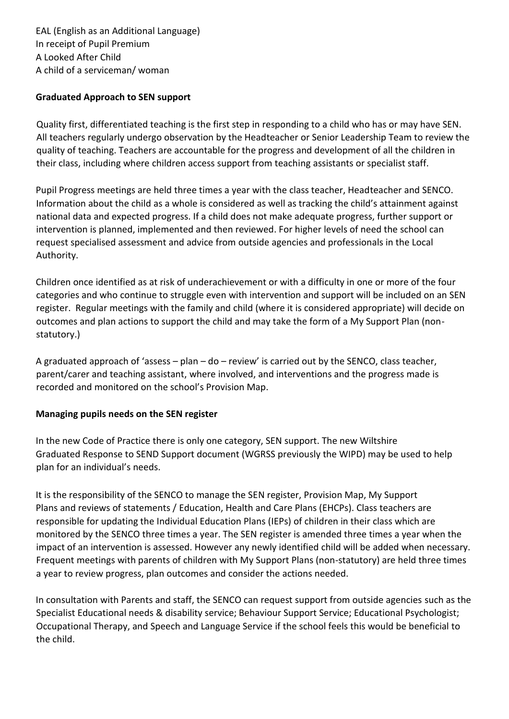EAL (English as an Additional Language) In receipt of Pupil Premium A Looked After Child A child of a serviceman/ woman

## **Graduated Approach to SEN support**

Quality first, differentiated teaching is the first step in responding to a child who has or may have SEN. All teachers regularly undergo observation by the Headteacher or Senior Leadership Team to review the quality of teaching. Teachers are accountable for the progress and development of all the children in their class, including where children access support from teaching assistants or specialist staff.

Pupil Progress meetings are held three times a year with the class teacher, Headteacher and SENCO. Information about the child as a whole is considered as well as tracking the child's attainment against national data and expected progress. If a child does not make adequate progress, further support or intervention is planned, implemented and then reviewed. For higher levels of need the school can request specialised assessment and advice from outside agencies and professionals in the Local Authority.

Children once identified as at risk of underachievement or with a difficulty in one or more of the four categories and who continue to struggle even with intervention and support will be included on an SEN register. Regular meetings with the family and child (where it is considered appropriate) will decide on outcomes and plan actions to support the child and may take the form of a My Support Plan (nonstatutory.)

A graduated approach of 'assess – plan – do – review' is carried out by the SENCO, class teacher, parent/carer and teaching assistant, where involved, and interventions and the progress made is recorded and monitored on the school's Provision Map.

## **Managing pupils needs on the SEN register**

In the new Code of Practice there is only one category, SEN support. The new Wiltshire Graduated Response to SEND Support document (WGRSS previously the WIPD) may be used to help plan for an individual's needs.

It is the responsibility of the SENCO to manage the SEN register, Provision Map, My Support Plans and reviews of statements / Education, Health and Care Plans (EHCPs). Class teachers are responsible for updating the Individual Education Plans (IEPs) of children in their class which are monitored by the SENCO three times a year. The SEN register is amended three times a year when the impact of an intervention is assessed. However any newly identified child will be added when necessary. Frequent meetings with parents of children with My Support Plans (non-statutory) are held three times a year to review progress, plan outcomes and consider the actions needed.

In consultation with Parents and staff, the SENCO can request support from outside agencies such as the Specialist Educational needs & disability service; Behaviour Support Service; Educational Psychologist; Occupational Therapy, and Speech and Language Service if the school feels this would be beneficial to the child.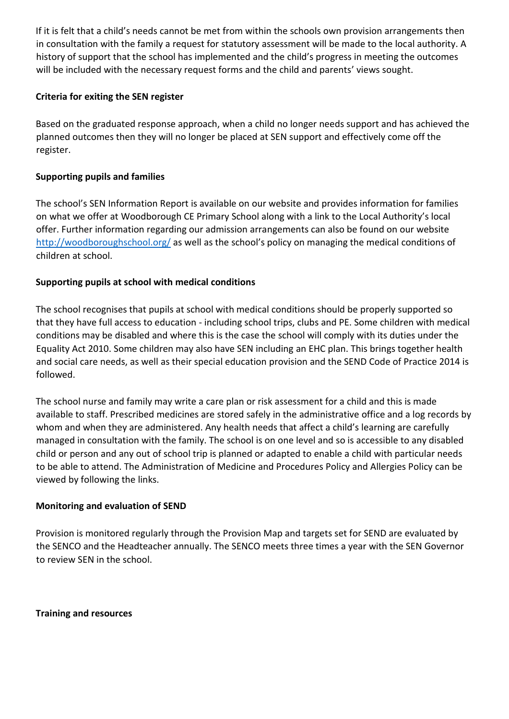If it is felt that a child's needs cannot be met from within the schools own provision arrangements then in consultation with the family a request for statutory assessment will be made to the local authority. A history of support that the school has implemented and the child's progress in meeting the outcomes will be included with the necessary request forms and the child and parents' views sought.

## **Criteria for exiting the SEN register**

Based on the graduated response approach, when a child no longer needs support and has achieved the planned outcomes then they will no longer be placed at SEN support and effectively come off the register.

## **Supporting pupils and families**

The school's SEN Information Report is available on our website and provides information for families on what we offer at Woodborough CE Primary School along with a link to the Local Authority's local offer. Further information regarding our admission arrangements can also be found on our website <http://woodboroughschool.org/> as well as the school's policy on managing the medical conditions of children at school.

## **Supporting pupils at school with medical conditions**

The school recognises that pupils at school with medical conditions should be properly supported so that they have full access to education - including school trips, clubs and PE. Some children with medical conditions may be disabled and where this is the case the school will comply with its duties under the Equality Act 2010. Some children may also have SEN including an EHC plan. This brings together health and social care needs, as well as their special education provision and the SEND Code of Practice 2014 is followed.

The school nurse and family may write a care plan or risk assessment for a child and this is made available to staff. Prescribed medicines are stored safely in the administrative office and a log records by whom and when they are administered. Any health needs that affect a child's learning are carefully managed in consultation with the family. The school is on one level and so is accessible to any disabled child or person and any out of school trip is planned or adapted to enable a child with particular needs to be able to attend. The Administration of Medicine and Procedures Policy and Allergies Policy can be viewed by following the links.

## **Monitoring and evaluation of SEND**

Provision is monitored regularly through the Provision Map and targets set for SEND are evaluated by the SENCO and the Headteacher annually. The SENCO meets three times a year with the SEN Governor to review SEN in the school.

#### **Training and resources**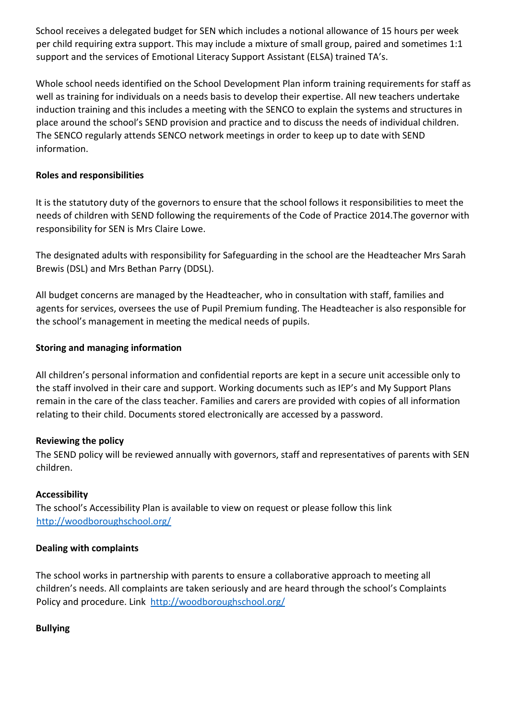School receives a delegated budget for SEN which includes a notional allowance of 15 hours per week per child requiring extra support. This may include a mixture of small group, paired and sometimes 1:1 support and the services of Emotional Literacy Support Assistant (ELSA) trained TA's.

Whole school needs identified on the School Development Plan inform training requirements for staff as well as training for individuals on a needs basis to develop their expertise. All new teachers undertake induction training and this includes a meeting with the SENCO to explain the systems and structures in place around the school's SEND provision and practice and to discuss the needs of individual children. The SENCO regularly attends SENCO network meetings in order to keep up to date with SEND information.

## **Roles and responsibilities**

It is the statutory duty of the governors to ensure that the school follows it responsibilities to meet the needs of children with SEND following the requirements of the Code of Practice 2014.The governor with responsibility for SEN is Mrs Claire Lowe.

The designated adults with responsibility for Safeguarding in the school are the Headteacher Mrs Sarah Brewis (DSL) and Mrs Bethan Parry (DDSL).

All budget concerns are managed by the Headteacher, who in consultation with staff, families and agents for services, oversees the use of Pupil Premium funding. The Headteacher is also responsible for the school's management in meeting the medical needs of pupils.

## **Storing and managing information**

All children's personal information and confidential reports are kept in a secure unit accessible only to the staff involved in their care and support. Working documents such as IEP's and My Support Plans remain in the care of the class teacher. Families and carers are provided with copies of all information relating to their child. Documents stored electronically are accessed by a password.

## **Reviewing the policy**

The SEND policy will be reviewed annually with governors, staff and representatives of parents with SEN children.

## **Accessibility**

The school's Accessibility Plan is available to view on request or please follow this link <http://woodboroughschool.org/>

## **Dealing with complaints**

The school works in partnership with parents to ensure a collaborative approach to meeting all children's needs. All complaints are taken seriously and are heard through the school's Complaints Policy and procedure. Link [http://woodboroughschool.org/](http://www.pewsey.wilts.sch.uk/)

# **Bullying**